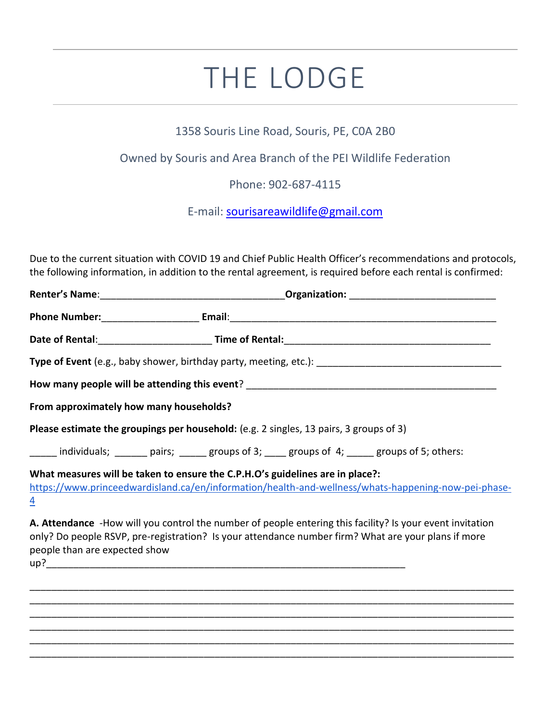## THE LODGE

## 1358 Souris Line Road, Souris, PE, C0A 2B0

## Owned by Souris and Area Branch of the PEI Wildlife Federation

Phone: 902-687-4115

E-mail: [sourisareawildlife@gmail.com](mailto:sourisareawildlife@gmail.com)

Due to the current situation with COVID 19 and Chief Public Health Officer's recommendations and protocols, the following information, in addition to the rental agreement, is required before each rental is confirmed:

| From approximately how many households? |                                                                                                                                                                                                                  |
|-----------------------------------------|------------------------------------------------------------------------------------------------------------------------------------------------------------------------------------------------------------------|
|                                         | Please estimate the groupings per household: (e.g. 2 singles, 13 pairs, 3 groups of 3)                                                                                                                           |
|                                         | individuals; _______ pairs; ______ groups of 3; ____ groups of 4; _____ groups of 5; others:                                                                                                                     |
| $\overline{4}$                          | What measures will be taken to ensure the C.P.H.O's guidelines are in place?:<br>https://www.princeedwardisland.ca/en/information/health-and-wellness/whats-happening-now-pei-phase-                             |
| people than are expected show           | A. Attendance -How will you control the number of people entering this facility? Is your event invitation<br>only? Do people RSVP, pre-registration? Is your attendance number firm? What are your plans if more |

\_\_\_\_\_\_\_\_\_\_\_\_\_\_\_\_\_\_\_\_\_\_\_\_\_\_\_\_\_\_\_\_\_\_\_\_\_\_\_\_\_\_\_\_\_\_\_\_\_\_\_\_\_\_\_\_\_\_\_\_\_\_\_\_\_\_\_\_\_\_\_\_\_\_\_\_\_\_\_\_\_\_\_\_\_\_\_\_\_ \_\_\_\_\_\_\_\_\_\_\_\_\_\_\_\_\_\_\_\_\_\_\_\_\_\_\_\_\_\_\_\_\_\_\_\_\_\_\_\_\_\_\_\_\_\_\_\_\_\_\_\_\_\_\_\_\_\_\_\_\_\_\_\_\_\_\_\_\_\_\_\_\_\_\_\_\_\_\_\_\_\_\_\_\_\_\_\_\_ \_\_\_\_\_\_\_\_\_\_\_\_\_\_\_\_\_\_\_\_\_\_\_\_\_\_\_\_\_\_\_\_\_\_\_\_\_\_\_\_\_\_\_\_\_\_\_\_\_\_\_\_\_\_\_\_\_\_\_\_\_\_\_\_\_\_\_\_\_\_\_\_\_\_\_\_\_\_\_\_\_\_\_\_\_\_\_\_\_ \_\_\_\_\_\_\_\_\_\_\_\_\_\_\_\_\_\_\_\_\_\_\_\_\_\_\_\_\_\_\_\_\_\_\_\_\_\_\_\_\_\_\_\_\_\_\_\_\_\_\_\_\_\_\_\_\_\_\_\_\_\_\_\_\_\_\_\_\_\_\_\_\_\_\_\_\_\_\_\_\_\_\_\_\_\_\_\_\_ \_\_\_\_\_\_\_\_\_\_\_\_\_\_\_\_\_\_\_\_\_\_\_\_\_\_\_\_\_\_\_\_\_\_\_\_\_\_\_\_\_\_\_\_\_\_\_\_\_\_\_\_\_\_\_\_\_\_\_\_\_\_\_\_\_\_\_\_\_\_\_\_\_\_\_\_\_\_\_\_\_\_\_\_\_\_\_\_\_ \_\_\_\_\_\_\_\_\_\_\_\_\_\_\_\_\_\_\_\_\_\_\_\_\_\_\_\_\_\_\_\_\_\_\_\_\_\_\_\_\_\_\_\_\_\_\_\_\_\_\_\_\_\_\_\_\_\_\_\_\_\_\_\_\_\_\_\_\_\_\_\_\_\_\_\_\_\_\_\_\_\_\_\_\_\_\_\_\_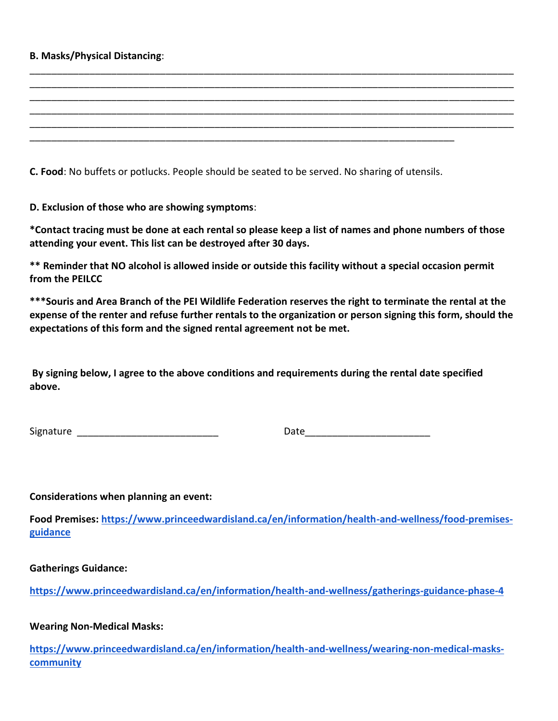## **B. Masks/Physical Distancing**:

**C. Food**: No buffets or potlucks. People should be seated to be served. No sharing of utensils.

\_\_\_\_\_\_\_\_\_\_\_\_\_\_\_\_\_\_\_\_\_\_\_\_\_\_\_\_\_\_\_\_\_\_\_\_\_\_\_\_\_\_\_\_\_\_\_\_\_\_\_\_\_\_\_\_\_\_\_\_\_\_\_\_\_\_\_\_\_\_\_\_\_\_\_\_\_\_

**D. Exclusion of those who are showing symptoms**:

**\*Contact tracing must be done at each rental so please keep a list of names and phone numbers of those attending your event. This list can be destroyed after 30 days.**

\_\_\_\_\_\_\_\_\_\_\_\_\_\_\_\_\_\_\_\_\_\_\_\_\_\_\_\_\_\_\_\_\_\_\_\_\_\_\_\_\_\_\_\_\_\_\_\_\_\_\_\_\_\_\_\_\_\_\_\_\_\_\_\_\_\_\_\_\_\_\_\_\_\_\_\_\_\_\_\_\_\_\_\_\_\_\_\_\_ \_\_\_\_\_\_\_\_\_\_\_\_\_\_\_\_\_\_\_\_\_\_\_\_\_\_\_\_\_\_\_\_\_\_\_\_\_\_\_\_\_\_\_\_\_\_\_\_\_\_\_\_\_\_\_\_\_\_\_\_\_\_\_\_\_\_\_\_\_\_\_\_\_\_\_\_\_\_\_\_\_\_\_\_\_\_\_\_\_ \_\_\_\_\_\_\_\_\_\_\_\_\_\_\_\_\_\_\_\_\_\_\_\_\_\_\_\_\_\_\_\_\_\_\_\_\_\_\_\_\_\_\_\_\_\_\_\_\_\_\_\_\_\_\_\_\_\_\_\_\_\_\_\_\_\_\_\_\_\_\_\_\_\_\_\_\_\_\_\_\_\_\_\_\_\_\_\_\_ \_\_\_\_\_\_\_\_\_\_\_\_\_\_\_\_\_\_\_\_\_\_\_\_\_\_\_\_\_\_\_\_\_\_\_\_\_\_\_\_\_\_\_\_\_\_\_\_\_\_\_\_\_\_\_\_\_\_\_\_\_\_\_\_\_\_\_\_\_\_\_\_\_\_\_\_\_\_\_\_\_\_\_\_\_\_\_\_\_ \_\_\_\_\_\_\_\_\_\_\_\_\_\_\_\_\_\_\_\_\_\_\_\_\_\_\_\_\_\_\_\_\_\_\_\_\_\_\_\_\_\_\_\_\_\_\_\_\_\_\_\_\_\_\_\_\_\_\_\_\_\_\_\_\_\_\_\_\_\_\_\_\_\_\_\_\_\_\_\_\_\_\_\_\_\_\_\_\_

**\*\* Reminder that NO alcohol is allowed inside or outside this facility without a special occasion permit from the PEILCC**

**\*\*\*Souris and Area Branch of the PEI Wildlife Federation reserves the right to terminate the rental at the expense of the renter and refuse further rentals to the organization or person signing this form, should the expectations of this form and the signed rental agreement not be met.**

**By signing below, I agree to the above conditions and requirements during the rental date specified above.**

| Signature |  |  |
|-----------|--|--|
|-----------|--|--|

Signature \_\_\_\_\_\_\_\_\_\_\_\_\_\_\_\_\_\_\_\_\_\_\_\_\_\_ Date\_\_\_\_\_\_\_\_\_\_\_\_\_\_\_\_\_\_\_\_\_\_\_

**Considerations when planning an event:** 

**Food Premises: [https://www.princeedwardisland.ca/en/information/health-and-wellness/food-premises](about:blank)[guidance](about:blank)**

**Gatherings Guidance:**

**[https://www.princeedwardisland.ca/en/information/health-and-wellness/gatherings-guidance-phase-4](about:blank)**

**Wearing Non-Medical Masks:**

**[https://www.princeedwardisland.ca/en/information/health-and-wellness/wearing-non-medical-masks](about:blank)[community](about:blank)**